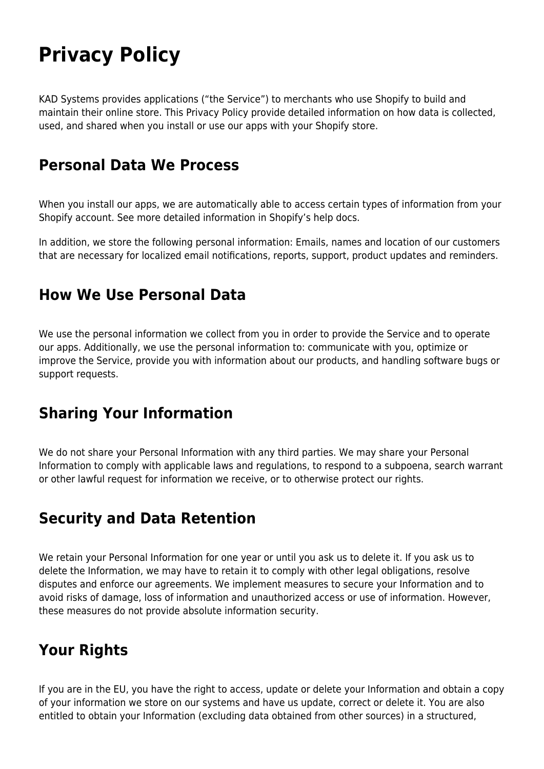# **Privacy Policy**

KAD Systems provides applications ("the Service") to merchants who use Shopify to build and maintain their online store. This Privacy Policy provide detailed information on how data is collected, used, and shared when you install or use our apps with your Shopify store.

#### **Personal Data We Process**

When you install our apps, we are automatically able to access certain types of information from your Shopify account. See more detailed information in Shopify's help docs.

In addition, we store the following personal information: Emails, names and location of our customers that are necessary for localized email notifications, reports, support, product updates and reminders.

#### **How We Use Personal Data**

We use the personal information we collect from you in order to provide the Service and to operate our apps. Additionally, we use the personal information to: communicate with you, optimize or improve the Service, provide you with information about our products, and handling software bugs or support requests.

### **Sharing Your Information**

We do not share your Personal Information with any third parties. We may share your Personal Information to comply with applicable laws and regulations, to respond to a subpoena, search warrant or other lawful request for information we receive, or to otherwise protect our rights.

### **Security and Data Retention**

We retain your Personal Information for one year or until you ask us to delete it. If you ask us to delete the Information, we may have to retain it to comply with other legal obligations, resolve disputes and enforce our agreements. We implement measures to secure your Information and to avoid risks of damage, loss of information and unauthorized access or use of information. However, these measures do not provide absolute information security.

# **Your Rights**

If you are in the EU, you have the right to access, update or delete your Information and obtain a copy of your information we store on our systems and have us update, correct or delete it. You are also entitled to obtain your Information (excluding data obtained from other sources) in a structured,